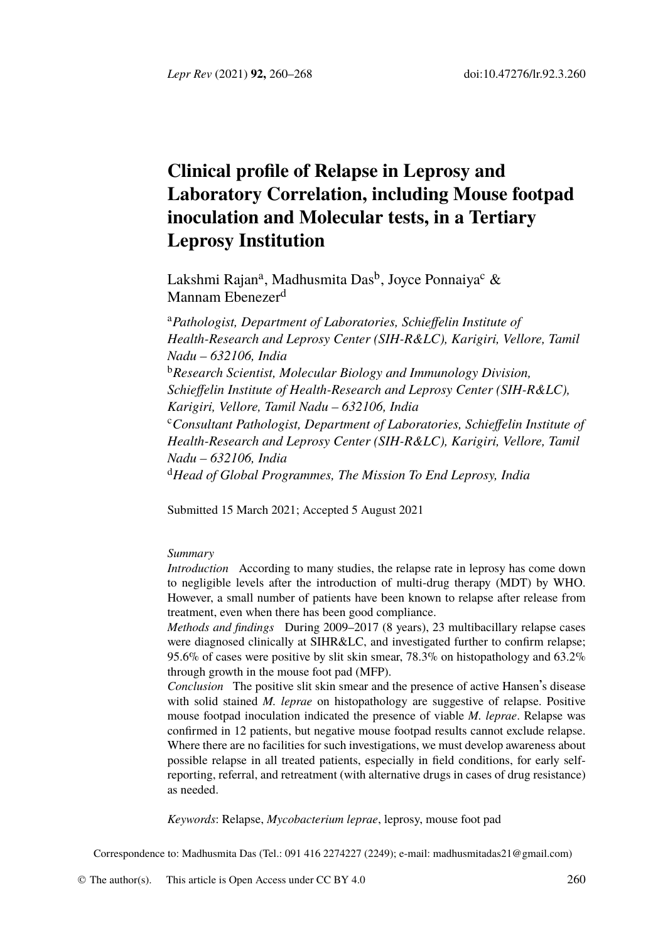*Lepr Rev* (2021) **92,** 260–268 doi:10.47276/lr.92.3.260

# **Clinical profile of Relapse in Leprosy and Laboratory Correlation, including Mouse footpad inoculation and Molecular tests, in a Tertiary Leprosy Institution**

Lakshmi Rajan<sup>a</sup>, Madhusmita Das<sup>b</sup>, Joyce Ponnaiya<sup>c</sup> & Mannam Ebenezer<sup>d</sup>

<sup>a</sup>*Pathologist, Department of Laboratories, Schieffelin Institute of Health-Research and Leprosy Center (SIH-R&LC), Karigiri, Vellore, Tamil Nadu – 632106, India* <sup>b</sup>*Research Scientist, Molecular Biology and Immunology Division, Schieffelin Institute of Health-Research and Leprosy Center (SIH-R&LC), Karigiri, Vellore, Tamil Nadu – 632106, India* <sup>c</sup>*Consultant Pathologist, Department of Laboratories, Schieffelin Institute of Health-Research and Leprosy Center (SIH-R&LC), Karigiri, Vellore, Tamil Nadu – 632106, India* <sup>d</sup>*Head of Global Programmes, The Mission To End Leprosy, India*

Submitted 15 March 2021; Accepted 5 August 2021

#### *Summary*

*Introduction* According to many studies, the relapse rate in leprosy has come down to negligible levels after the introduction of multi-drug therapy (MDT) by WHO. However, a small number of patients have been known to relapse after release from treatment, even when there has been good compliance.

*Methods and findings* During 2009–2017 (8 years), 23 multibacillary relapse cases were diagnosed clinically at SIHR&LC, and investigated further to confirm relapse; 95.6% of cases were positive by slit skin smear, 78.3% on histopathology and 63.2% through growth in the mouse foot pad (MFP).

*Conclusion* The positive slit skin smear and the presence of active Hansen's disease with solid stained *M. leprae* on histopathology are [suggestive of relapse. Posit](mailto:madhusmitadas21@gmail.com)ive mouse footpad inoculation indicated the presence of viable *M. leprae*. Relapse was confirmed in 12 patients, but [negative m](http://creativecommons.org/licenses/by/4.0/)ouse footpad results cannot exclude relapse. Where there are no facilities for such investigations, we must develop awareness about possible relapse in all treated patients, especially in field conditions, for early selfreporting, referral, and retreatment (with alternative drugs in cases of drug resistance) as needed.

*Keywords*: Relapse, *Mycobacterium leprae*, leprosy, mouse foot pad

Correspondence to: Madhusmita Das (Tel.: 091 416 2274227 (2249); e-mail: madhusmitadas21@gmail.com)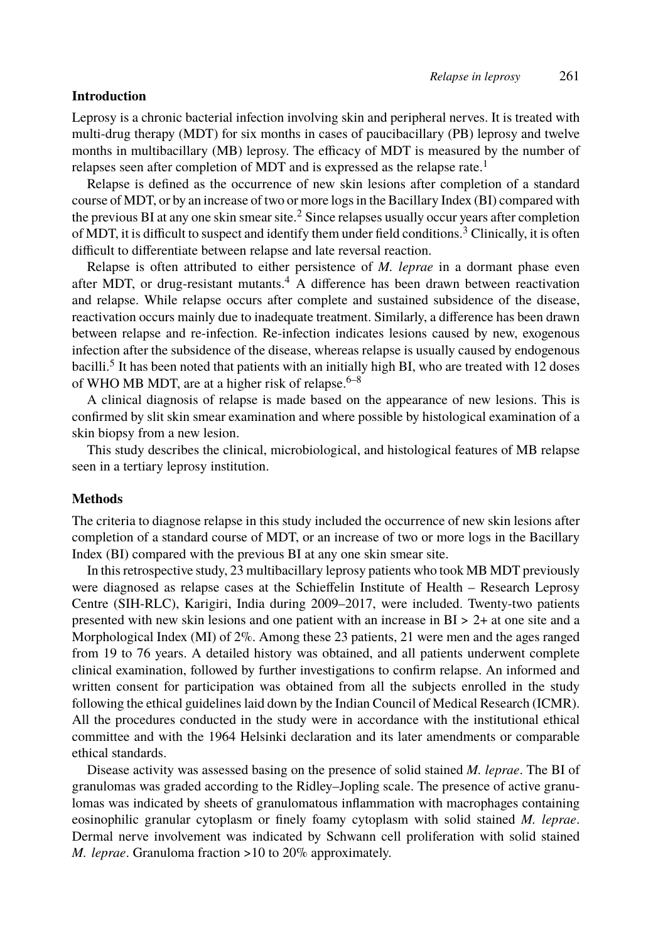#### *Relap[se](#page-8-0) in leprosy* 261

#### **Introduction**

Leprosy is a chronic bacterial infection involving skin and peripheral nerves. It is treated with multi-drug therapy (MDT) for six mo[nth](#page-8-1)s in cases of paucibacillary (PB) leprosy and twelve months in multibacillary (MB) leprosy. The efficacy of MDT is measured by the number of relapses seen after completion of MDT and is expressed as the relapse rate.<sup>1</sup>

Relapse is defined as the occurrence of new skin lesions after completion of a standard course of MDT, or by an increase of two or more logs in the Bacillary Index (BI) compared with the pre[vi](#page-8-2)ous BI at any one skin smear site.<sup>2</sup> Since relapses usually occur years after completion of MDT, it is difficult to suspect and identify them [un](#page-8-3)[d](#page-8-4)er field conditions.<sup>3</sup> Clinically, it is often difficult to differentiate between relapse and late reversal reaction.

Relapse is often attributed to either persistence of *M. leprae* in a dormant phase even after MDT, or drug-resistant mutants.<sup>4</sup> A difference has been drawn between reactivation and relapse. While relapse occurs after complete and sustained subsidence of the disease, reactivation occurs mainly due to inadequate treatment. Similarly, a difference has been drawn between relapse and re-infection. Re-infection indicates lesions caused by new, exogenous infection after the subsidence of the disease, whereas relapse is usually caused by endogenous bacilli.<sup>5</sup> It has been noted that patients with an initially high BI, who are treated with 12 doses of WHO MB MDT, are at a higher risk of relapse. $6-8$ 

A clinical diagnosis of relapse is made based on the appearance of new lesions. This is confirmed by slit skin smear examination and where possible by histological examination of a skin biopsy from a new lesion.

This study describes the clinical, microbiological, and histological features of MB relapse seen in a tertiary leprosy institution.

## **Methods**

The criteria to diagnose relapse in this study included the occurrence of new skin lesions after completion of a standard course of MDT, or an increase of two or more logs in the Bacillary Index (BI) compared with the previous BI at any one skin smear site.

In this retrospective study, 23 multibacillary leprosy patients who took MB MDT previously were diagnosed as relapse cases at the Schieffelin Institute of Health – Research Leprosy Centre (SIH-RLC), Karigiri, India during 2009–2017, were included. Twenty-two patients presented with new skin lesions and one patient with an increase in BI > 2+ at one site and a Morphological Index (MI) of 2%. Among these 23 patients, 21 were men and the ages ranged from 19 to 76 years. A detailed history was obtained, and all patients underwent complete clinical examination, followed by further investigations to confirm relapse. An informed and written consent for participation was obtained from all the subjects enrolled in the study following the ethical guidelines laid down by the Indian Council of Medical Research (ICMR). All the procedures conducted in the study were in accordance with the institutional ethical committee and with the 1964 Helsinki declaration and its later amendments or comparable ethical standards.

Disease activity was assessed basing on the presence of solid stained *M. leprae*. The BI of granulomas was graded according to the Ridley–Jopling scale. The presence of active granulomas was indicated by sheets of granulomatous inflammation with macrophages containing eosinophilic granular cytoplasm or finely foamy cytoplasm with solid stained *M. leprae*. Dermal nerve involvement was indicated by Schwann cell proliferation with solid stained *M. leprae*. Granuloma fraction >10 to 20% approximately.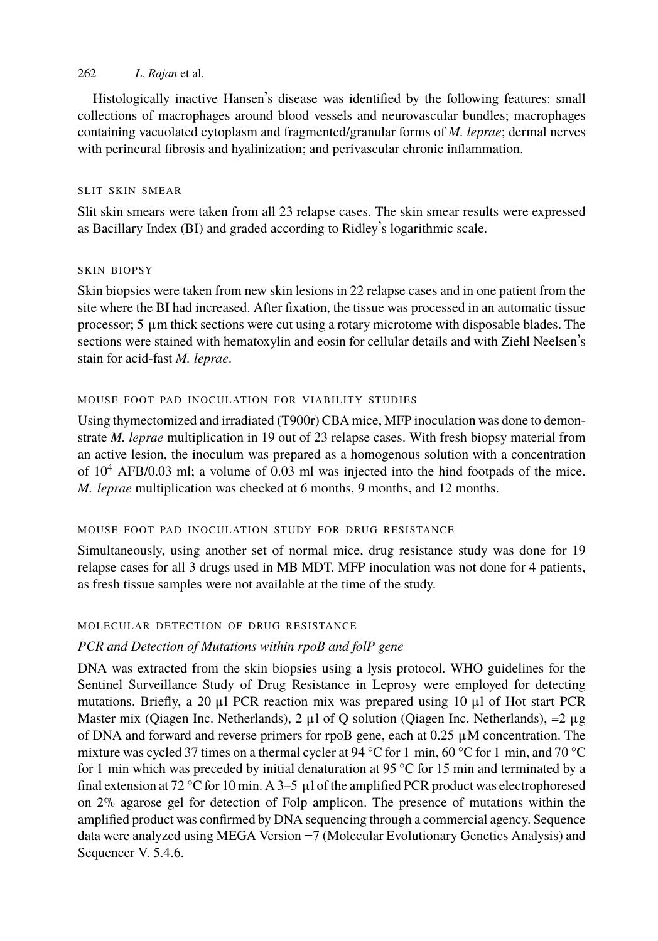## 262 *L. Rajan* et al*.*

Histologically inactive Hansen's disease was identified by the following features: small collections of macrophages around blood vessels and neurovascular bundles; macrophages containing vacuolated cytoplasm and fragmented/granular forms of *M. leprae*; dermal nerves with perineural fibrosis and hyalinization; and perivascular chronic inflammation.

## SLIT SKIN SMEAR

Slit skin smears were taken from all 23 relapse cases. The skin smear results were expressed as Bacillary Index (BI) and graded according to Ridley's logarithmic scale.

## SKIN BIOPSY

Skin biopsies were taken from new skin lesions in 22 relapse cases and in one patient from the site where the BI had increased. After fixation, the tissue was processed in an automatic tissue processor;  $5 \mu$ m thick sections were cut using a rotary microtome with disposable blades. The sections were stained with hematoxylin and eosin for cellular details and with Ziehl Neelsen's stain for acid-fast *M. leprae*.

## MOUSE FOOT PAD INOCULATION FOR VIABILITY STUDIES

Using thymectomized and irradiated (T900r) CBA mice, MFP inoculation was done to demonstrate *M. leprae* multiplication in 19 out of 23 relapse cases. With fresh biopsy material from an active lesion, the inoculum was prepared as a homogenous solution with a concentration of  $10^4$  AFB/0.03 ml; a volume of 0.03 ml was injected into the hind footpads of the mice. *M. leprae* multiplication was checked at 6 months, 9 months, and 12 months.

## MOUSE FOOT PAD INOCULATION STUDY FOR DRUG RESISTANCE

Simultaneously, using another set of normal mice, drug resistance study was done for 19 relapse cases for all 3 drugs used in MB MDT. MFP inoculation was not done for 4 patients, as fresh tissue samples were not available at the time of the study.

## MOLECULAR DETECTION OF DRUG RESISTANCE

## *PCR and Detection of Mutations within rpoB and folP gene*

DNA was extracted from the skin biopsies using a lysis protocol. WHO guidelines for the Sentinel Surveillance Study of Drug Resistance in Leprosy were employed for detecting mutations. Briefly, a 20 μl PCR reaction mix was prepared using 10 μl of Hot start PCR Master mix (Qiagen Inc. Netherlands),  $2 \mu l$  of Q solution (Qiagen Inc. Netherlands),  $= 2 \mu g$ of DNA and forward and reverse primers for rpoB gene, each at 0.25 μM concentration. The mixture was cycled 37 times on a thermal cycler at 94 °C for 1 min, 60 °C for 1 min, and 70 °C for 1 min which was preceded by initial denaturation at 95  $\degree$ C for 15 min and terminated by a final extension at 72 °C for 10 min. A 3–5  $\mu$ l of the amplified PCR product was electrophoresed on 2% agarose gel for detection of Folp amplicon. The presence of mutations within the amplified product was confirmed by DNA sequencing through a commercial agency. Sequence data were analyzed using MEGA Version −7 (Molecular Evolutionary Genetics Analysis) and Sequencer V. 5.4.6.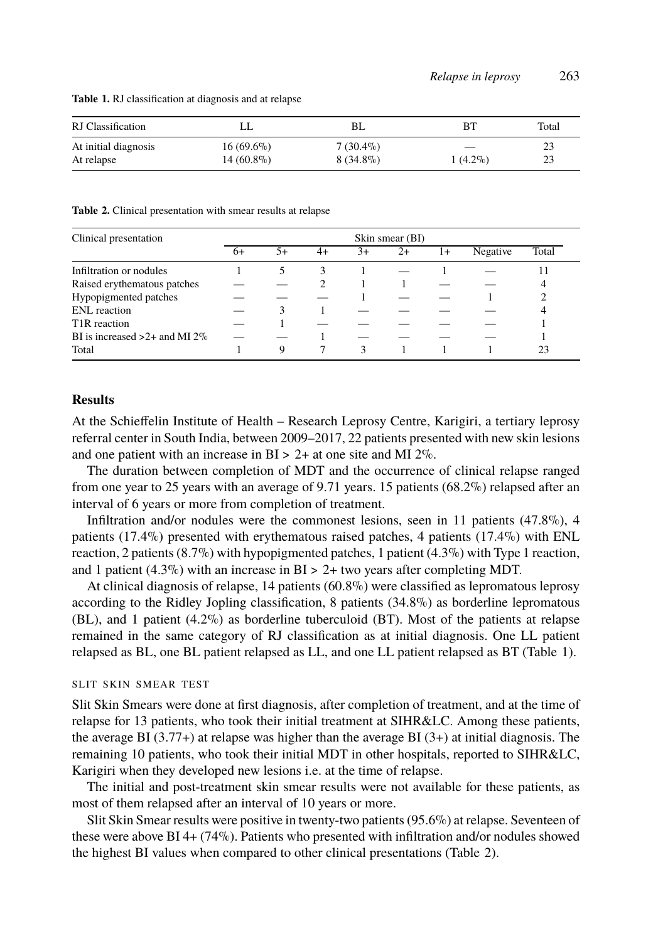|  | Relapse in leprosy | 263 |
|--|--------------------|-----|
|--|--------------------|-----|

<span id="page-3-1"></span><span id="page-3-0"></span>**Table 1.** RJ classification at diagnosis and at relapse

| RJ Classification    | LL           | BL.         | RТ         | Total |
|----------------------|--------------|-------------|------------|-------|
| At initial diagnosis | $16(69.6\%)$ | $7(30.4\%)$ |            |       |
| At relapse           | $14(60.8\%)$ | $8(34.8\%)$ | $1(4.2\%)$ | 23    |

**Table 2.** Clinical presentation with smear results at relapse

| Clinical presentation            | Skin smear (BI) |    |    |      |    |      |          |       |
|----------------------------------|-----------------|----|----|------|----|------|----------|-------|
|                                  | $6+$            | 5+ | 4+ | $3+$ | 2+ | $1+$ | Negative | Total |
| Infiltration or nodules          |                 |    |    |      |    |      |          |       |
| Raised erythematous patches      |                 |    |    |      |    |      |          |       |
| Hypopigmented patches            |                 |    |    |      |    |      |          |       |
| ENL reaction                     |                 |    |    |      |    |      |          |       |
| T <sub>1</sub> R reaction        |                 |    |    |      |    |      |          |       |
| BI is increased $>2+$ and MI 2\% |                 |    |    |      |    |      |          |       |
| Total                            |                 |    |    | 3    |    |      |          | 23    |

#### **Results**

At the Schieffelin Institute of Health – Research Leprosy Centre, Karigiri, a tertiary leprosy referral center in South India, between 2009–2017, 22 patients presented with new skin lesions and one patient with an increase in  $BI > 2+$  at one site and MI 2%.

The duration between completion of MDT and the occurrence of clinical relapse ranged from one year to 25 years with an average of 9.71 years. 15 patients (68.2%) relapsed after an interval of 6 years or more from completion of treatment.

Infiltration and/or nodules were the commonest lesions, seen in 11 patients (47.8%[\),](#page-3-0) 4 patients (17.4%) presented with erythematous raised patches, 4 patients (17.4%) with ENL reaction, 2 patients  $(8.7\%)$  with hypopigmented patches, 1 patient  $(4.3\%)$  with Type 1 reaction, and 1 patient (4.3%) with an increase in  $BI > 2+$  two years after completing MDT.

At clinical diagnosis of relapse, 14 patients (60.8%) were classified as lepromatous leprosy according to the Ridley Jopling classification, 8 patients (34.8%) as borderline lepromatous  $(BL)$ , and 1 patient  $(4.2\%)$  as borderline tuberculoid (BT). Most of the patients at relapse remained in the same category of RJ classification as at initial diagnosis. One LL patient relapsed as BL, one BL patient relapsed as LL, and one LL patient relapsed as BT (Table 1).

## SLIT SKIN SMEAR TEST

Slit Skin Smears were done at first diagnosis, after completion of treatment, [an](#page-3-1)d at the time of relapse for 13 patients, who took their initial treatment at SIHR&LC. Among these patients, the average BI (3.77+) at relapse was higher than the average BI (3+) at initial diagnosis. The remaining 10 patients, who took their initial MDT in other hospitals, reported to SIHR&LC, Karigiri when they developed new lesions i.e. at the time of relapse.

The initial and post-treatment skin smear results were not available for these patients, as most of them relapsed after an interval of 10 years or more.

Slit Skin Smear results were positive in twenty-two patients (95.6%) at relapse. Seventeen of these were above BI 4+ (74%). Patients who presented with infiltration and/or nodules showed the highest BI values when compared to other clinical presentations (Table 2).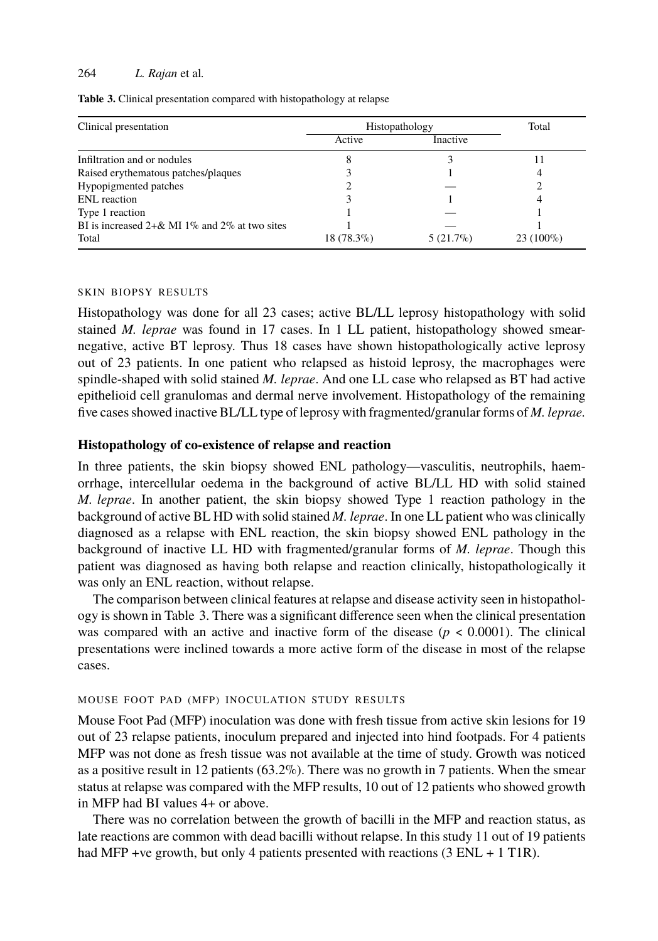## <span id="page-4-0"></span>264 *L. Rajan* et al*.*

**Table 3.** Clinical presentation compared with histopathology at relapse

| Clinical presentation                            | Histopathology | Total           |             |
|--------------------------------------------------|----------------|-----------------|-------------|
|                                                  | Active         | <i>Inactive</i> |             |
| Infiltration and or nodules                      |                |                 |             |
| Raised erythematous patches/plaques              |                |                 |             |
| Hypopigmented patches                            |                |                 |             |
| ENL reaction                                     |                |                 |             |
| Type 1 reaction                                  |                |                 |             |
| BI is increased $2+\&$ MI 1% and 2% at two sites |                |                 |             |
| Total                                            | $18(78.3\%)$   | $5(21.7\%)$     | $23(100\%)$ |

#### SKIN BIOPSY RESULTS

Histopathology was done for all 23 cases; active BL/LL leprosy histopathology with solid stained *M. leprae* was found in 17 cases. In 1 LL patient, histopathology showed smearnegative, active BT leprosy. Thus 18 cases have shown histopathologically active leprosy out of 23 patients. In one patient who relapsed as histoid leprosy, the macrophages were spindle-shaped with solid stained *M. leprae*. And one LL case who relapsed as BT had active epithelioid cell granulomas and dermal nerve involvement. Histopathology of the remaining five cases showed inactive BL/LL type of leprosy with fragmented/granular forms of *M. leprae.*

#### **Histopathology of co-existence of relapse and reaction**

In three patients, the [s](#page-4-0)kin biopsy showed ENL pathology—vasculitis, neutrophils, haemorrhage, intercellular oedema in the background of active BL/LL HD with solid stained *M. leprae*. In another patient, the skin biopsy showed Type 1 reaction pathology in the background of active BL HD with solid stained *M. leprae*. In one LL patient who was clinically diagnosed as a relapse with ENL reaction, the skin biopsy showed ENL pathology in the background of inactive LL HD with fragmented/granular forms of *M. leprae*. Though this patient was diagnosed as having both relapse and reaction clinically, histopathologically it was only an ENL reaction, without relapse.

The comparison between clinical features at relapse and disease activity seen in histopathology is shown in Table 3. There was a significant difference seen when the clinical presentation was compared with an active and inactive form of the disease ( $p < 0.0001$ ). The clinical presentations were inclined towards a more active form of the disease in most of the relapse cases.

## MOUSE FOOT PAD (MFP) INOCULATION STUDY RESULTS

Mouse Foot Pad (MFP) inoculation was done with fresh tissue from active skin lesions for 19 out of 23 relapse patients, inoculum prepared and injected into hind footpads. For 4 patients MFP was not done as fresh tissue was not available at the time of study. Growth was noticed as a positive result in 12 patients  $(63.2\%)$ . There was no growth in 7 patients. When the smear status at relapse was compared with the MFP results, 10 out of 12 patients who showed growth in MFP had BI values 4+ or above.

There was no correlation between the growth of bacilli in the MFP and reaction status, as late reactions are common with dead bacilli without relapse. In this study 11 out of 19 patients had MFP +ve growth, but only 4 patients presented with reactions (3 ENL + 1 T1R).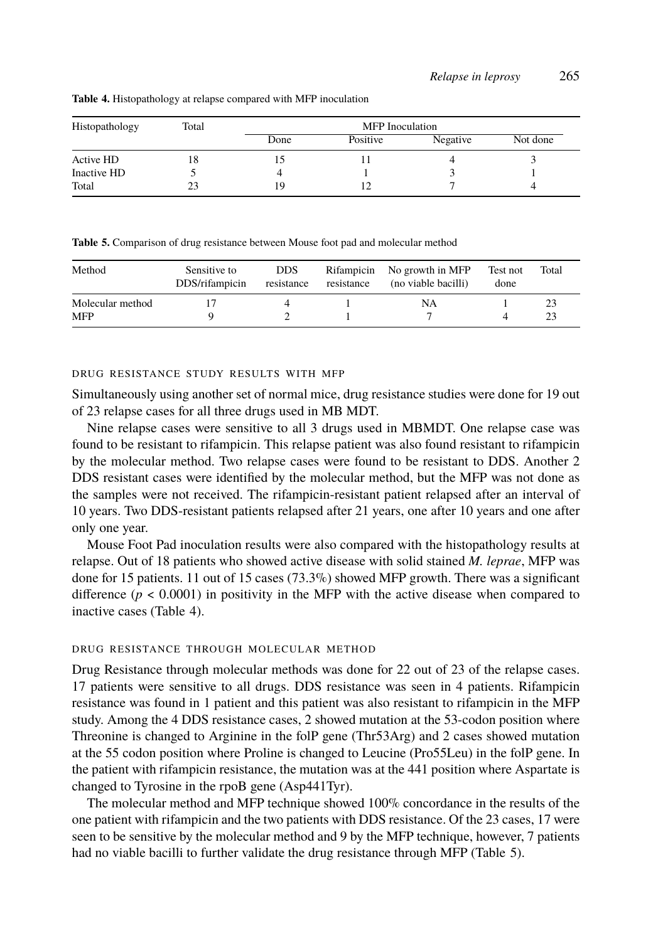## *Relapse in leprosy* 265

| Histopathology | Total | <b>MFP</b> Inoculation |          |          |          |  |  |
|----------------|-------|------------------------|----------|----------|----------|--|--|
|                |       | Done                   | Positive | Negative | Not done |  |  |
| Active HD      | 18    |                        |          |          |          |  |  |
| Inactive HD    |       |                        |          |          |          |  |  |
| Total          | 23    | 19                     |          |          |          |  |  |

#### <span id="page-5-1"></span><span id="page-5-0"></span>**Table 4.** Histopathology at relapse compared with MFP inoculation

**Table 5.** Comparison of drug resistance between Mouse foot pad and molecular method

| Method                         | Sensitive to<br>DDS/rifampicin | <b>DDS</b><br>resistance | Rifampicin<br>resistance | No growth in MFP<br>(no viable bacilli) | Test not<br>done | Total    |
|--------------------------------|--------------------------------|--------------------------|--------------------------|-----------------------------------------|------------------|----------|
| Molecular method<br><b>MFP</b> |                                |                          |                          | NA                                      |                  | 23<br>23 |

## DRUG RESISTANCE STUDY RESULTS WITH MFP

Simultaneously using another set of normal mice, drug resistance studies were done for 19 out of 23 relapse cases for all three drugs used in MB MDT.

Nine relapse cases were sensitive to all 3 drugs used in MBMDT. One relapse case was found to be resistant to rifampicin. This relapse patient was also found resistant to rifampicin by the molecular m[eth](#page-5-0)od. Two relapse cases were found to be resistant to DDS. Another 2 DDS resistant cases were identified by the molecular method, but the MFP was not done as the samples were not received. The rifampicin-resistant patient relapsed after an interval of 10 years. Two DDS-resistant patients relapsed after 21 years, one after 10 years and one after only one year.

Mouse Foot Pad inoculation results were also compared with the histopathology results at relapse. Out of 18 patients who showed active disease with solid stained *M. leprae*, MFP was done for 15 patients. 11 out of 15 cases (73.3%) showed MFP growth. There was a significant difference  $(p < 0.0001)$  in positivity in the MFP with the active disease when compared to inactive cases (Table 4).

## DRUG RESISTANCE THROUGH MOLECULAR METHOD

Drug Resistance through molecular methods was done for 22 out of 23 of the relapse cases. 17 patients were sensitive to all drugs. DDS resistance was seen in 4 patients. Rifampicin resistance was found in 1 patient and this patient was also resistant to rifampic[in](#page-5-1) in the MFP study. Among the 4 DDS resistance cases, 2 showed mutation at the 53-codon position where Threonine is changed to Arginine in the folP gene (Thr53Arg) and 2 cases showed mutation at the 55 codon position where Proline is changed to Leucine (Pro55Leu) in the folP gene. In the patient with rifampicin resistance, the mutation was at the 441 position where Aspartate is changed to Tyrosine in the rpoB gene (Asp441Tyr).

The molecular method and MFP technique showed 100% concordance in the results of the one patient with rifampicin and the two patients with DDS resistance. Of the 23 cases, 17 were seen to be sensitive by the molecular method and 9 by the MFP technique, however, 7 patients had no viable bacilli to further validate the drug resistance through MFP (Table 5).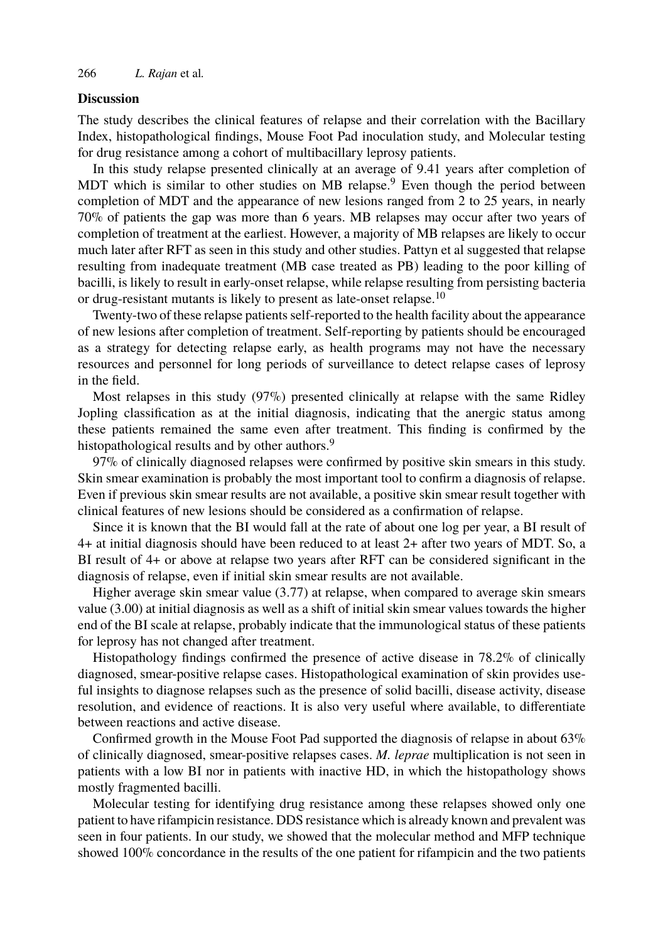### 266 *L. Rajan* et al*.*

## **Discussion**

The study describes the clinical features of relapse and their correlation with the Bacillary Index, histopathological findings, Mouse Foot Pad inoculation study, and Molecular testing for drug resistance among a cohort of multibacillary leprosy pati[ent](#page-8-5)s.

In this study relapse presented clinically at an average of 9.41 years after completion of MDT which is similar to other studies on MB relapse.<sup>9</sup> Even though the period between completion of MDT and the appearance of new lesions ranged from 2 to 25 years, in nearly 70% of patients the gap was more than 6 years. MB relapses may occur after two years of completion of treatment at the earliest. However, a majority of MB relapses are likely to occur much later after RFT as seen in this study and other studies. Pattyn et al suggested that relapse resulting from inadequate treatment (MB case treated as PB) leading to the poor killing of bacilli, is likely to result in early-onset relapse, while relapse resulting from persisting bacteria or drug-re[s](#page-8-6)istant mutants is likely to present as late-onset relapse.<sup>10</sup>

Twenty-two of these relapse patients self-reported to the health facility about the appearance of new lesions after completion of treatment. Self-reporting by patients should be encouraged as a strategy for detecting relapse early, as health programs may not have the necessary resources and personnel for long periods of surveillance to detect relapse cases of leprosy in the field.

Most relapses in this study (97%) presented clinically at relapse with the same Ridley Jopling classification as at the initial diagnosis, indicating that the anergic status among these patients remained the same even after treatment. This finding is confirmed by the histopathological results and by other authors.<sup>9</sup>

97% of clinically diagnosed relapses were confirmed by positive skin smears in this study. Skin smear examination is probably the most important tool to confirm a diagnosis of relapse. Even if previous skin smear results are not available, a positive skin smear result together with clinical features of new lesions should be considered as a confirmation of relapse.

Since it is known that the BI would fall at the rate of about one log per year, a BI result of 4+ at initial diagnosis should have been reduced to at least 2+ after two years of MDT. So, a BI result of 4+ or above at relapse two years after RFT can be considered significant in the diagnosis of relapse, even if initial skin smear results are not available.

Higher average skin smear value (3.77) at relapse, when compared to average skin smears value (3.00) at initial diagnosis as well as a shift of initial skin smear values towards the higher end of the BI scale at relapse, probably indicate that the immunological status of these patients for leprosy has not changed after treatment.

Histopathology findings confirmed the presence of active disease in 78.2% of clinically diagnosed, smear-positive relapse cases. Histopathological examination of skin provides useful insights to diagnose relapses such as the presence of solid bacilli, disease activity, disease resolution, and evidence of reactions. It is also very useful where available, to differentiate between reactions and active disease.

Confirmed growth in the Mouse Foot Pad supported the diagnosis of relapse in about 63% of clinically diagnosed, smear-positive relapses cases. *M. leprae* multiplication is not seen in patients with a low BI nor in patients with inactive HD, in which the histopathology shows mostly fragmented bacilli.

Molecular testing for identifying drug resistance among these relapses showed only one patient to have rifampicin resistance. DDS resistance which is already known and prevalent was seen in four patients. In our study, we showed that the molecular method and MFP technique showed 100% concordance in the results of the one patient for rifampicin and the two patients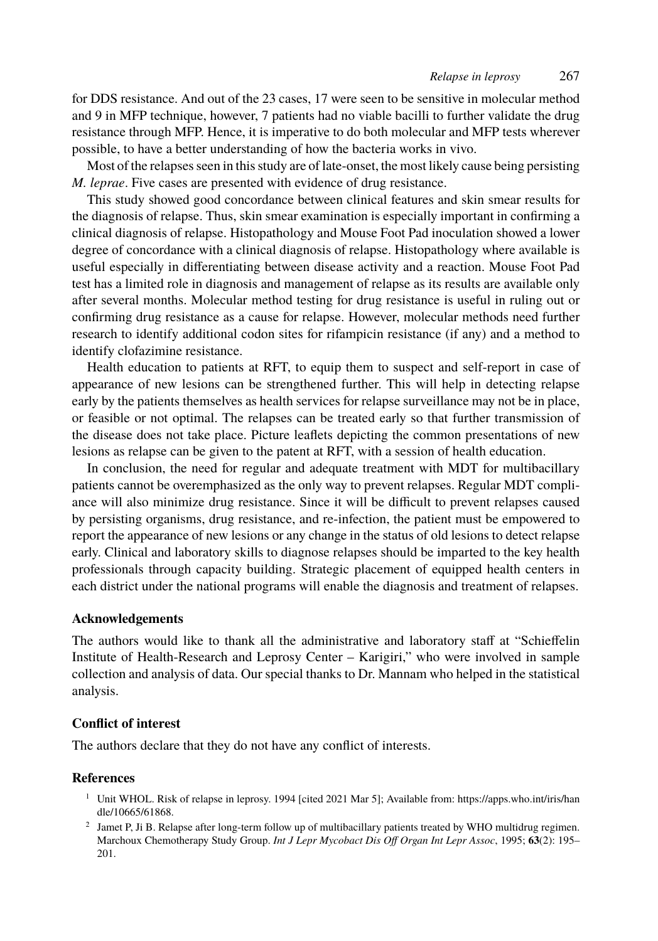#### *Relapse in leprosy* 267

for DDS resistance. And out of the 23 cases, 17 were seen to be sensitive in molecular method and 9 in MFP technique, however, 7 patients had no viable bacilli to further validate the drug resistance through MFP. Hence, it is imperative to do both molecular and MFP tests wherever possible, to have a better understanding of how the bacteria works in vivo.

Most of the relapses seen in this study are of late-onset, the most likely cause being persisting *M. leprae*. Five cases are presented with evidence of drug resistance.

This study showed good concordance between clinical features and skin smear results for the diagnosis of relapse. Thus, skin smear examination is especially important in confirming a clinical diagnosis of relapse. Histopathology and Mouse Foot Pad inoculation showed a lower degree of concordance with a clinical diagnosis of relapse. Histopathology where available is useful especially in differentiating between disease activity and a reaction. Mouse Foot Pad test has a limited role in diagnosis and management of relapse as its results are available only after several months. Molecular method testing for drug resistance is useful in ruling out or confirming drug resistance as a cause for relapse. However, molecular methods need further research to identify additional codon sites for rifampicin resistance (if any) and a method to identify clofazimine resistance.

Health education to patients at RFT, to equip them to suspect and self-report in case of appearance of new lesions can be strengthened further. This will help in detecting relapse early by the patients themselves as health services for relapse surveillance may not be in place, or feasible or not optimal. The relapses can be treated early so that further transmission of the disease does not take place. Picture leaflets depicting the common presentations of new lesions as relapse can be given to the patent at RFT, with a session of health education.

In conclusion, the need for regular and adequate treatment with MDT for multibacillary patients cannot be overemphasized as the only way to prevent relapses. Regular MDT compliance will also minimize drug resistance. Since it will be difficult to prevent relapses caused by persisting organisms, drug resistance, and re-infection, the patient must be empowered to report the appearance of new lesions or any change in the status of old lesions to detect relapse early. Clinical and laboratory skills to diagnose relapses should be imparted to the key health professionals through capacity building. Strategic placement of equipped health centers in each district under the national programs will enable the diagnosis and treatment of relapses.

#### **Acknowledgements**

The authors would like to thank all the administrative and laboratory staff at "Schieffelin Insti[tute of Health](https://apps.who.int/iris/handle/10665/61868)-Research and Leprosy Center – Karigiri," who w[ere involved in sample](https://apps.who.int/iris/handle/10665/61868) collection and analysis of data. Our special thanks to Dr. Mannam who helped in the statistical analysis.

### **Conflict of interest**

The authors declare that they do not have any conflict of interests.

## **References**

- <sup>1</sup> Unit WHOL. Risk of relapse in leprosy. 1994 [cited 2021 Mar 5]; Available from: https://apps.who.int/iris/han dle/10665/61868.
- 2 Jamet P, Ji B. Relapse after long-term follow up of multibacillary patients treated by WHO multidrug regimen. Marchoux Chemotherapy Study Group. *Int J Lepr Mycobact Dis Off Organ Int Lepr Assoc*, 1995; **63**(2): 195– 201.